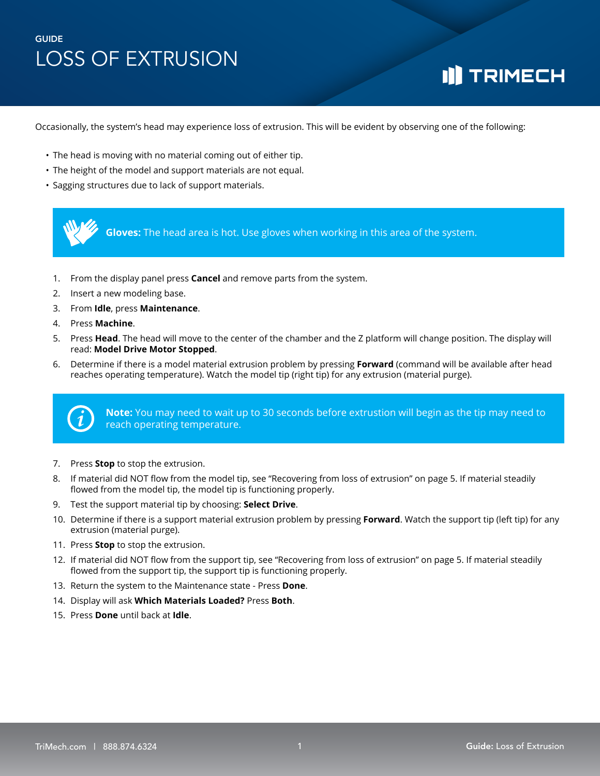# **I]** TRIMECH

Occasionally, the system's head may experience loss of extrusion. This will be evident by observing one of the following:

- The head is moving with no material coming out of either tip.
- The height of the model and support materials are not equal.
- Sagging structures due to lack of support materials.

**Gloves:** The head area is hot. Use gloves when working in this area of the system.

- 1. From the display panel press **Cancel** and remove parts from the system.
- 2. Insert a new modeling base.
- 3. From **Idle**, press **Maintenance**.
- 4. Press **Machine**.
- 5. Press **Head**. The head will move to the center of the chamber and the Z platform will change position. The display will read: **Model Drive Motor Stopped**.
- 6. Determine if there is a model material extrusion problem by pressing **Forward** (command will be available after head reaches operating temperature). Watch the model tip (right tip) for any extrusion (material purge).



**Note:** You may need to wait up to 30 seconds before extrustion will begin as the tip may need to reach operating temperature.

- 7. Press **Stop** to stop the extrusion.
- 8. If material did NOT flow from the model tip, see "Recovering from loss of extrusion" on page 5. If material steadily flowed from the model tip, the model tip is functioning properly.
- 9. Test the support material tip by choosing: **Select Drive**.
- 10. Determine if there is a support material extrusion problem by pressing **Forward**. Watch the support tip (left tip) for any extrusion (material purge).
- 11. Press **Stop** to stop the extrusion.
- 12. If material did NOT flow from the support tip, see "Recovering from loss of extrusion" on page 5. If material steadily flowed from the support tip, the support tip is functioning properly.
- 13. Return the system to the Maintenance state Press **Done**.
- 14. Display will ask **Which Materials Loaded?** Press **Both**.
- 15. Press **Done** until back at **Idle**.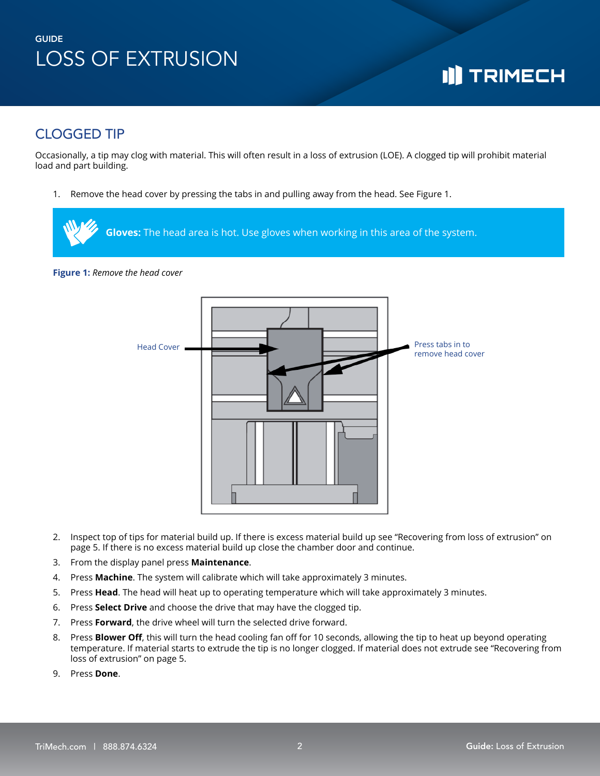# **I]** TRIMECH

### CLOGGED TIP

Occasionally, a tip may clog with material. This will often result in a loss of extrusion (LOE). A clogged tip will prohibit material load and part building.

1. Remove the head cover by pressing the tabs in and pulling away from the head. See Figure 1.



**Figure 1:** *Remove the head cover*



- 2. Inspect top of tips for material build up. If there is excess material build up see "Recovering from loss of extrusion" on page 5. If there is no excess material build up close the chamber door and continue.
- 3. From the display panel press **Maintenance**.
- 4. Press **Machine**. The system will calibrate which will take approximately 3 minutes.
- 5. Press **Head**. The head will heat up to operating temperature which will take approximately 3 minutes.
- 6. Press **Select Drive** and choose the drive that may have the clogged tip.
- 7. Press **Forward**, the drive wheel will turn the selected drive forward.
- 8. Press **Blower Off**, this will turn the head cooling fan off for 10 seconds, allowing the tip to heat up beyond operating temperature. If material starts to extrude the tip is no longer clogged. If material does not extrude see "Recovering from loss of extrusion" on page 5.
- 9. Press **Done**.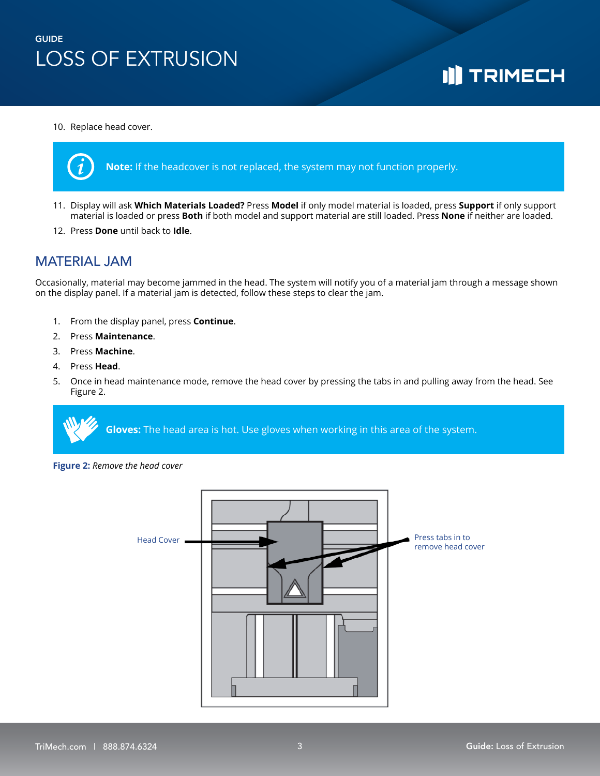### 10. Replace head cover.



- 11. Display will ask **Which Materials Loaded?** Press **Model** if only model material is loaded, press **Support** if only support material is loaded or press **Both** if both model and support material are still loaded. Press **None** if neither are loaded.
- 12. Press **Done** until back to **Idle**.

### MATERIAL JAM

Occasionally, material may become jammed in the head. The system will notify you of a material jam through a message shown on the display panel. If a material jam is detected, follow these steps to clear the jam.

- 1. From the display panel, press **Continue**.
- 2. Press **Maintenance**.
- 3. Press **Machine**.
- 4. Press **Head**.
- 5. Once in head maintenance mode, remove the head cover by pressing the tabs in and pulling away from the head. See Figure 2.



**Figure 2:** *Remove the head cover*



**I]** TRIMECH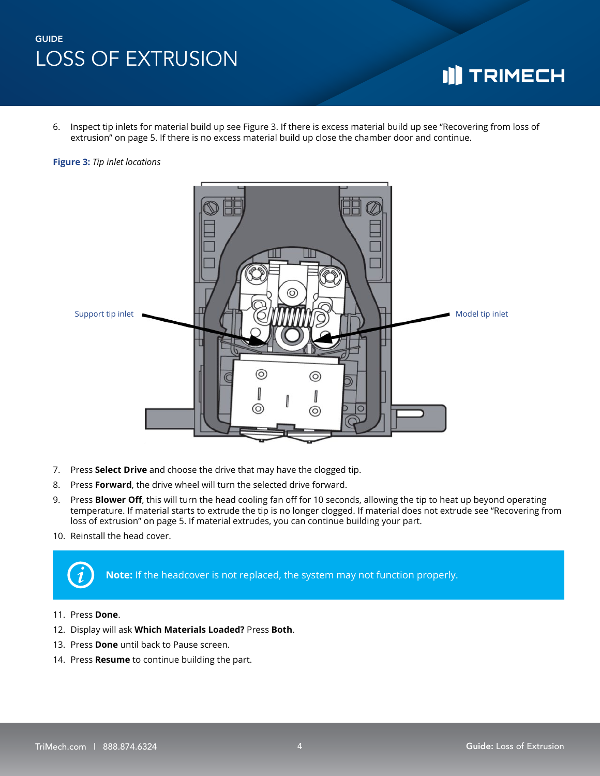## **I]** TRIMECH

6. Inspect tip inlets for material build up see Figure 3. If there is excess material build up see "Recovering from loss of extrusion" on page 5. If there is no excess material build up close the chamber door and continue.

#### **Figure 3:** *Tip inlet locations*



- 7. Press **Select Drive** and choose the drive that may have the clogged tip.
- 8. Press **Forward**, the drive wheel will turn the selected drive forward.
- 9. Press **Blower Off**, this will turn the head cooling fan off for 10 seconds, allowing the tip to heat up beyond operating temperature. If material starts to extrude the tip is no longer clogged. If material does not extrude see "Recovering from loss of extrusion" on page 5. If material extrudes, you can continue building your part.
- 10. Reinstall the head cover.



**Note:** If the headcover is not replaced, the system may not function properly.

- 11. Press **Done**.
- 12. Display will ask **Which Materials Loaded?** Press **Both**.
- 13. Press **Done** until back to Pause screen.
- 14. Press **Resume** to continue building the part.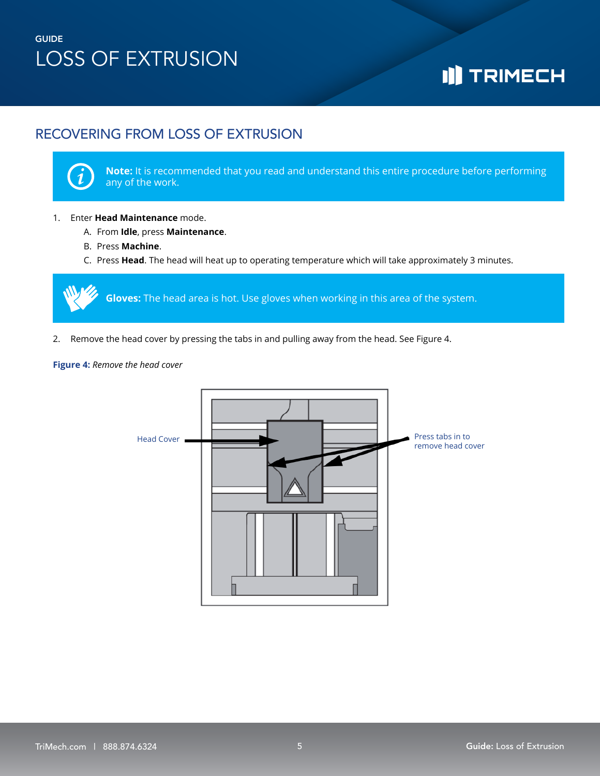# **I]** TRIMECH

### RECOVERING FROM LOSS OF EXTRUSION



**Note:** It is recommended that you read and understand this entire procedure before performing any of the work.

### 1. Enter **Head Maintenance** mode.

- A. From **Idle**, press **Maintenance**.
- B. Press **Machine**.
- C. Press **Head**. The head will heat up to operating temperature which will take approximately 3 minutes.

**Gloves:** The head area is hot. Use gloves when working in this area of the system.

2. Remove the head cover by pressing the tabs in and pulling away from the head. See Figure 4.

### **Figure 4:** *Remove the head cover*

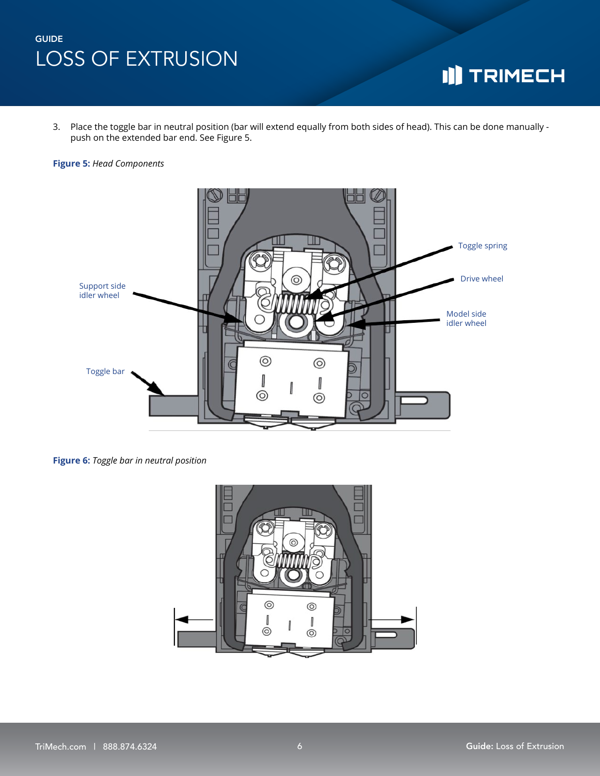# **I]** TRIMECH

3. Place the toggle bar in neutral position (bar will extend equally from both sides of head). This can be done manually push on the extended bar end. See Figure 5.

#### **Figure 5:** *Head Components*



**Figure 6:** *Toggle bar in neutral position*

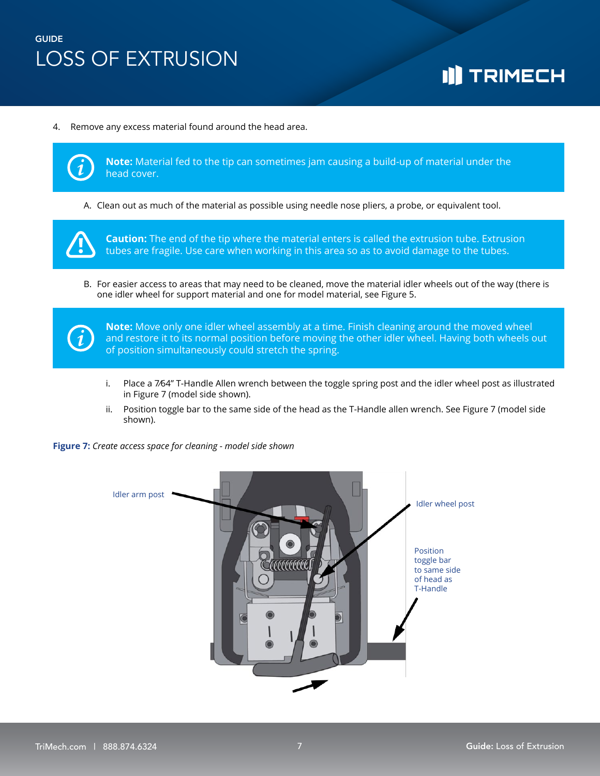# **I]** TRIMECH

4. Remove any excess material found around the head area.



**Note:** Material fed to the tip can sometimes jam causing a build-up of material under the head cover.

A. Clean out as much of the material as possible using needle nose pliers, a probe, or equivalent tool.



**Caution:** The end of the tip where the material enters is called the extrusion tube. Extrusion tubes are fragile. Use care when working in this area so as to avoid damage to the tubes.

B. For easier access to areas that may need to be cleaned, move the material idler wheels out of the way (there is one idler wheel for support material and one for model material, see Figure 5.



**Note:** Move only one idler wheel assembly at a time. Finish cleaning around the moved wheel and restore it to its normal position before moving the other idler wheel. Having both wheels out of position simultaneously could stretch the spring.

- i. Place a 7⁄64" T-Handle Allen wrench between the toggle spring post and the idler wheel post as illustrated in Figure 7 (model side shown).
- ii. Position toggle bar to the same side of the head as the T-Handle allen wrench. See Figure 7 (model side shown).

**Figure 7:** *Create access space for cleaning - model side shown*

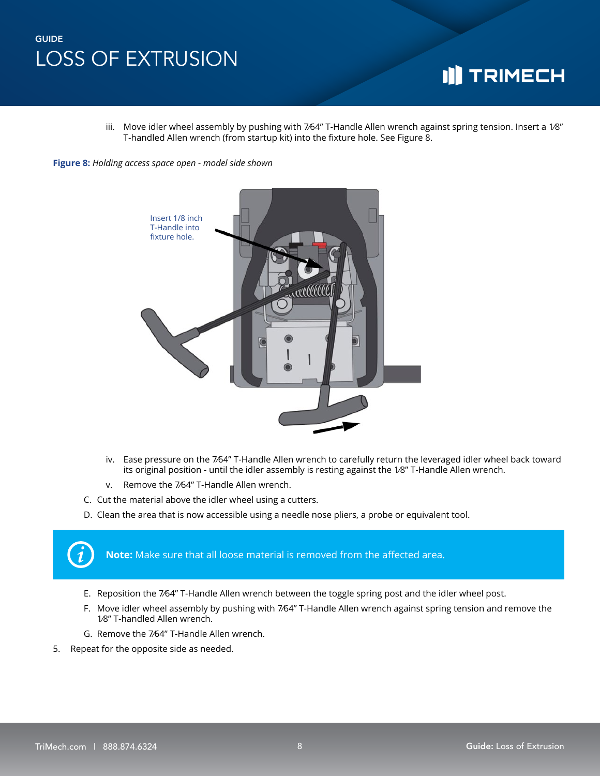## **I]** TRIMECH

iii. Move idler wheel assembly by pushing with 7⁄64" T-Handle Allen wrench against spring tension. Insert a 1⁄8" T-handled Allen wrench (from startup kit) into the fixture hole. See Figure 8.

**Figure 8:** *Holding access space open - model side shown*



- iv. Ease pressure on the 7⁄64" T-Handle Allen wrench to carefully return the leveraged idler wheel back toward its original position - until the idler assembly is resting against the 1⁄8" T-Handle Allen wrench.
- v. Remove the 7⁄64" T-Handle Allen wrench.
- C. Cut the material above the idler wheel using a cutters.
- D. Clean the area that is now accessible using a needle nose pliers, a probe or equivalent tool.

**Note:** Make sure that all loose material is removed from the affected area.

- E. Reposition the 7⁄64" T-Handle Allen wrench between the toggle spring post and the idler wheel post.
- F. Move idler wheel assembly by pushing with 7⁄64" T-Handle Allen wrench against spring tension and remove the 1⁄8" T-handled Allen wrench.
- G. Remove the 7⁄64" T-Handle Allen wrench.
- 5. Repeat for the opposite side as needed.